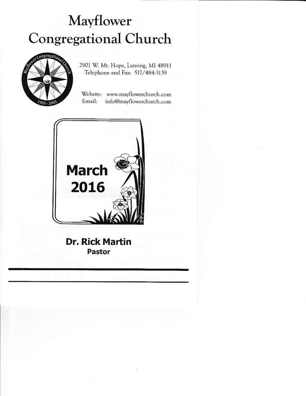# Mayflower **Congregational Church**



2901 W. Mt. Hope, Lansing, MI 48911 Telephone and Fax: 517/484-3139

Website: www.mayflowerchurch.com Email: info@mayflowerchurch.com



**Dr. Rick Martin** Pastor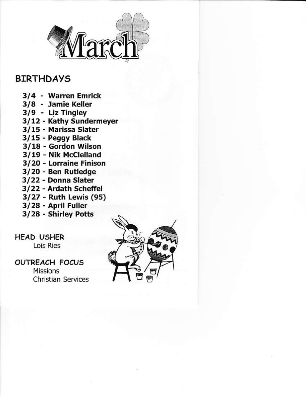

# **BIRTHDAYS**

- 3/4 Warren Emrick
- 3/8 Jamie Keller
- 3/9 Liz Tingley
- 3/12 Kathy Sundermeyer
- 3/15 Marissa Slater
- 3/15 Peggy Black
- 3/18 Gordon Wilson
- 3/19 Nik McClelland
- 3/20 Lorraine Finison
- 3/20 Ben Rutledge
- 3/22 Donna Slater
- 3/22 Ardath Scheffel
- 3/27 Ruth Lewis (95)
- 3/28 April Fuller
- 3/28 Shirley Potts

**HEAD USHER Lois Ries** 

# **OUTREACH FOCUS**

**Missions Christian Services** 

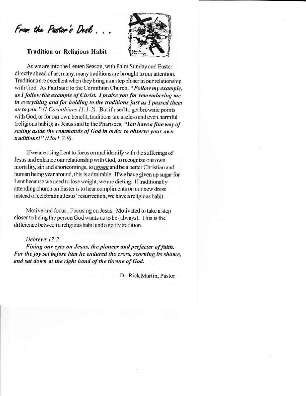From the Pastor's Desk.

### **Tradition or Religious Habit**



As we are into the Lenten Season, with Palm Sunday and Easter directly ahead of us, many, many traditions are brought to our attention. Traditions are excellent when they bring us a step closer in our relationship with God. As Paul said to the Corinthian Church, "Follow my example, as I follow the example of Christ. I praise you for remembering me in everything and for holding to the traditions just as I passed them on to you." (1 Corinthians  $11:1-2$ ). But if used to get brownie points with God, or for our own benefit, traditions are useless and even harmful (religious habit); as Jesus said to the Pharisees, "You have a fine way of setting aside the commands of God in order to observe your own traditions!" (Mark 7:9).

If we are using Lent to focus on and identify with the sufferings of Jesus and enhance our relationship with God, to recognize our own mortality, sin and shortcomings, to repent and be a better Christian and human being year around, this is admirable. If we have given up sugar for Lent because we need to lose weight, we are dieting. If traditionally attending church on Easter is to hear compliments on our new dress instead of celebrating Jesus' resurrection, we have a religious habit.

Motive and focus. Focusing on Jesus. Motivated to take a step closer to being the person God wants us to be (always). This is the difference between a religious habit and a godly tradition.

#### Hebrews 12:2

Fixing our eyes on Jesus, the pioneer and perfecter of faith. For the joy set before him he endured the cross, scorning its shame, and sat down at the right hand of the throne of God.

- Dr. Rick Martin, Pastor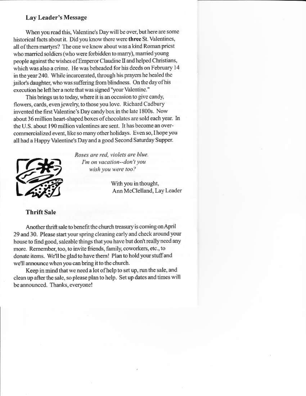#### Lay Leader's Message

When you read this, Valentine's Day will be over, but here are some historical facts about it. Did you know there were three St. Valentines, all of them martyrs? The one we know about was a kind Roman priest who married soldiers (who were forbidden to marry), married young people against the wishes of Emperor Claudine II and helped Christians, which was also a crime. He was beheaded for his deeds on February 14 in the year 240. While incarcerated, through his prayers he healed the jailor's daughter, who was suffering from blindness. On the day of his execution he left her a note that was signed "your Valentine."

This brings us to today, where it is an occasion to give candy. flowers, cards, even jewelry, to those you love. Richard Cadbury invented the first Valentine's Day candy box in the late 1800s. Now about 36 million heart-shaped boxes of chocolates are sold each year. In the U.S. about 190 million valentines are sent. It has become an overcommercialized event, like so many other holidays. Even so, I hope you all had a Happy Valentine's Day and a good Second Saturday Supper.



Roses are red, violets are blue. I'm on vacation--don't vou wish you were too?

> With you in thought, Ann McClelland, Lay Leader

# **Thrift Sale**

Another thrift sale to benefit the church treasury is coming on April 29 and 30. Please start your spring cleaning early and check around your house to find good, saleable things that you have but don't really need any more. Remember, too, to invite friends, family, coworkers, etc., to donate items. We'll be glad to have them! Plan to hold your stuff and we'll announce when you can bring it to the church.

Keep in mind that we need a lot of help to set up, run the sale, and clean up after the sale, so please plan to help. Set up dates and times will be announced. Thanks, everyone!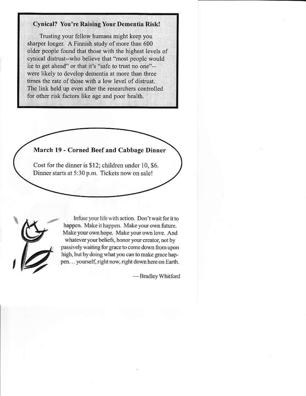# **Cynical? You're Raising Your Dementia Risk!**

Trusting your fellow humans might keep you sharper longer. A Finnish study of more than 600 older people found that those with the highest levels of cynical distrust--who believe that "most people would lie to get ahead" or that it's "safe to trust no one"-were likely to develop dementia at more than three times the rate of those with a low level of distrust. The link held up even after the researchers controlled for other risk factors like age and poor health.





Infuse your life with action. Don't wait for it to happen. Make it happen. Make your own future. Make your own hope. Make your own love. And whatever your beliefs, honor your creator, not by passively waiting for grace to come down from upon high, but by doing what you can to make grace happen... yourself, right now, right down here on Earth.

-Bradley Whitford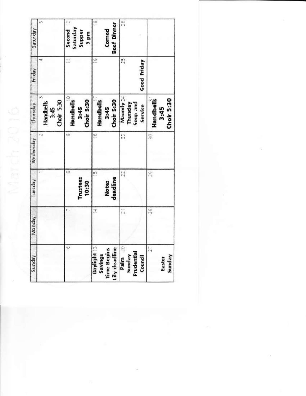| Satur day | 117                             | Second <sub>[2]</sub><br>Saturday<br><b>Supper</b><br>5 pm | ch<br><b>Beef Dinner</b><br>Corned                                                                                   | 同门                                           |                                       |
|-----------|---------------------------------|------------------------------------------------------------|----------------------------------------------------------------------------------------------------------------------|----------------------------------------------|---------------------------------------|
| Friday    | Ŧ                               | t.                                                         | œ                                                                                                                    | $\frac{1}{1.4}$<br>Good Friday               |                                       |
| Thursday  | Choir 5:30<br>Handbells<br>3:45 | <b>Handbelt</b><br>Choir 5:30<br>3:45                      | Choir 5:30<br>Handbells<br>3:45                                                                                      | Maundy 24<br>Thursday<br>Soup and<br>Service | Choir 5:30<br><b>Handbell</b><br>3:45 |
| Wednesday | řψ                              | ch                                                         | ب                                                                                                                    | Ĥ                                            | ç,                                    |
| Tuesday   |                                 | ŵ<br>Trustees<br>10:30                                     | u٦<br>deadline<br><b>Notes</b>                                                                                       | r d<br>Fil                                   | en<br>Fi                              |
| Monday    |                                 | t.                                                         | Ħ,                                                                                                                   | $\tilde{r}$                                  | 馬                                     |
| Sunday    |                                 | $\omega$                                                   | Daylight :<br>$\begin{tabular}{l} Savings \\ Time begins \\ Lily deadline \\ Dalm \\ Sunday \\ Sunday \end{tabular}$ | Council                                      | ţ.<br>Sunday<br>Easter                |

uB

March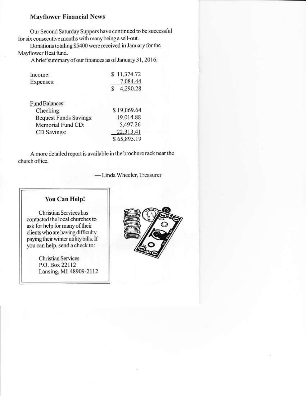#### **Mayflower Financial News**

Our Second Saturday Suppers have continued to be successful for six consecutive months with many being a sell-out.

Donations totaling \$5400 were received in January for the Mayflower Heat fund.

A brief summary of our finances as of January 31, 2016:

| Income:   | \$11,374.72 |  |
|-----------|-------------|--|
| Expenses: | 7,084.44    |  |
|           | 4,290.28    |  |

| Fund Balances:                |             |
|-------------------------------|-------------|
| Checking:                     | \$19,069.64 |
| <b>Bequest Funds Savings:</b> | 19,014.88   |
| Memorial Fund CD:             | 5,497.26    |
| CD Savings:                   | 22,313.41   |
|                               | \$65,895.19 |

A more detailed report is available in the brochure rack near the church office.

-Linda Wheeler, Treasurer

#### You Can Help!

Christian Services has contacted the local churches to ask for help for many of their clients who are having difficulty paying their winter utility bills. If you can help, send a check to:

> **Christian Services** P.O. Box 22112 Lansing, MI 48909-2112

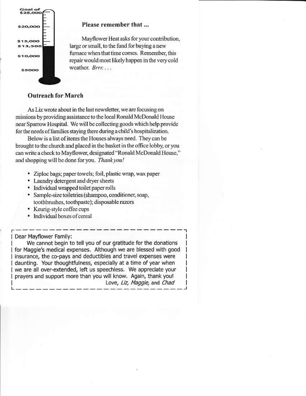

#### Please remember that ...

Mayflower Heat asks for your contribution, large or small, to the fund for buying a new furnace when that time comes. Remember, this repair would most likely happen in the very cold weather. Brrr....

# **Outreach for March**

As Liz wrote about in the last newsletter, we are focusing on missions by providing assistance to the local Ronald McDonald House near Sparrow Hospital. We will be collecting goods which help provide for the needs of families staying there during a child's hospitalization.

Below is a list of items the Houses always need. They can be brought to the church and placed in the basket in the office lobby, or you can write a check to Mayflower, designated "Ronald McDonald House," and shopping will be done for you. Thank you!

- Ziploc bags; paper towels; foil, plastic wrap, wax paper
- Laundry detergent and dryer sheets
- Individual wrapped toilet paper rolls
- · Sample-size toiletries (shampoo, conditioner, soap, toothbrushes, toothpaste); disposable razors
- Keurig-style coffee cups
- · Individual boxes of cereal

Dear Mayflower Family:

We cannot begin to tell you of our gratitude for the donations I for Maggie's medical expenses. Although we are blessed with good | insurance, the co-pays and deductibles and travel expenses were daunting. Your thoughtfulness, especially at a time of year when I we are all over-extended, left us speechless. We appreciate your prayers and support more than you will know. Again, thank you! Love, Liz, Maggie, and Chad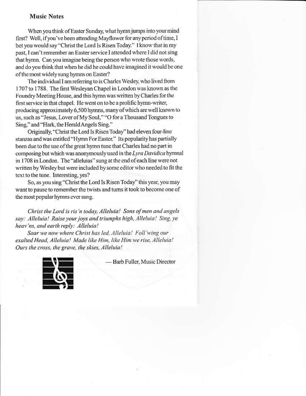#### **Music Notes**

When you think of Easter Sunday, what hymn jumps into your mind first? Well, if you've been attending Mayflower for any period of time, I bet you would say "Christ the Lord Is Risen Today." I know that in my past, I can't remember an Easter service I attended where I did not sing that hymn. Can you imagine being the person who wrote those words, and do you think that when he did he could have imagined it would be one of the most widely sung hymns on Easter?

The individual I am referring to is Charles Wesley, who lived from 1707 to 1788. The first Wesleyan Chapel in London was known as the Foundry Meeting House, and this hymn was written by Charles for the first service in that chapel. He went on to be a prolific hymn-writer, producing approximately 6,500 hymns, many of which are well known to us, such as "Jesus, Lover of My Soul," "O for a Thousand Tongues to Sing," and "Hark, the Herald Angels Sing."

Originally, "Christ the Lord Is Risen Today" had eleven four-line stanzas and was entitled "Hymn For Easter." Its popularity has partially been due to the use of the great hymn tune that Charles had no part in composing but which was anonymously used in the Lyra Davidica hymnal in 1708 in London. The "alleluias" sung at the end of each line were not written by Wesley but were included by some editor who needed to fit the text to the tune. Interesting, yes?

So, as you sing "Christ the Lord Is Risen Today" this year, you may want to pause to remember the twists and turns it took to become one of the most popular hymns ever sung.

Christ the Lord is ris'n today, Alleluia! Sons of men and angels say: Alleluia! Raise your joys and triumphs high, Alleluia! Sing, ye heav'ns, and earth reply: Alleluia!

Soar we now where Christ has led, Alleluia! Foll'wing our exalted Head, Alleluia! Made like Him, like Him we rise, Alleluia! Ours the cross, the grave, the skies, Alleluia!



-Barb Fuller, Music Director